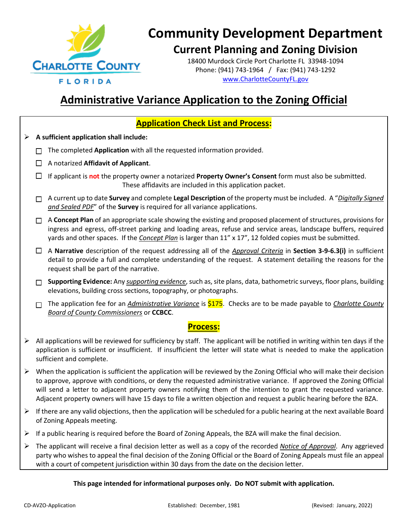

#### **Current Planning and Zoning Division**

18400 Murdock Circle Port Charlotte FL 33948-1094 Phone: (941) 743-1964 / Fax: (941) 743-1292 [www.CharlotteCountyFL.gov](http://www.charlottecountyfl.gov/)

### **Administrative Variance Application to the Zoning Official**

#### **Application Check List and Process:** ➢ **A sufficient application shall include: □** The completed **Application** with all the requested information provided. □ A notarized **Affidavit of Applicant**. □ If applicant is **not** the property owner a notarized **Property Owner's Consent** form must also be submitted. These affidavits are included in this application packet. □ A current up to date **Survey** and complete **Legal Description** of the property must be included. A "*Digitally Signed and Sealed PDF*" of the **Survey** is required for all variance applications. □ A **Concept Plan** of an appropriate scale showing the existing and proposed placement of structures, provisions for ingress and egress, off-street parking and loading areas, refuse and service areas, landscape buffers, required yards and other spaces. If the *Concept Plan* is larger than 11" x 17", 12 folded copies must be submitted. □ A **Narrative** description of the request addressing all of the *Approval Criteria* in **Section 3-9-6.3(i)** in sufficient detail to provide a full and complete understanding of the request. A statement detailing the reasons for the request shall be part of the narrative. □ **Supporting Evidence:** Any *supporting evidence*, such as, site plans, data, bathometric surveys, floor plans, building elevations, building cross sections, topography, or photographs. □ The application fee for an *Administrative Variance* is \$175. Checks are to be made payable to *Charlotte County Board of County Commissioners* or **CCBCC**. **Process:** ➢ All applications will be reviewed for sufficiency by staff. The applicant will be notified in writing within ten days if the application is sufficient or insufficient. If insufficient the letter will state what is needed to make the application sufficient and complete.  $\triangleright$  When the application is sufficient the application will be reviewed by the Zoning Official who will make their decision to approve, approve with conditions, or deny the requested administrative variance. If approved the Zoning Official will send a letter to adjacent property owners notifying them of the intention to grant the requested variance. Adjacent property owners will have 15 days to file a written objection and request a public hearing before the BZA.  $\triangleright$  If there are any valid objections, then the application will be scheduled for a public hearing at the next available Board of Zoning Appeals meeting. ➢ If a public hearing is required before the Board of Zoning Appeals, the BZA will make the final decision. ➢ The applicant will receive a final decision letter as well as a copy of the recorded *Notice of Approval*. Any aggrieved party who wishes to appeal the final decision of the Zoning Official or the Board of Zoning Appeals must file an appeal with a court of competent jurisdiction within 30 days from the date on the decision letter.

#### **This page intended for informational purposes only. Do NOT submit with application.**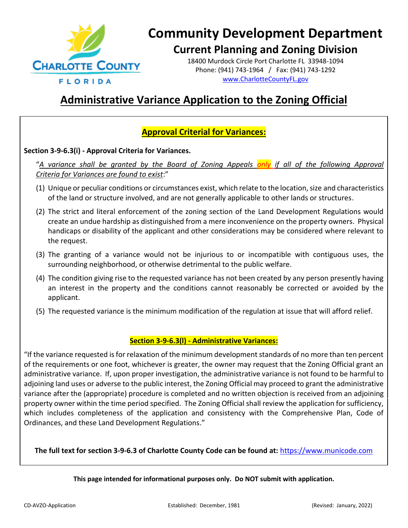

#### **Current Planning and Zoning Division**

18400 Murdock Circle Port Charlotte FL 33948-1094 Phone: (941) 743-1964 / Fax: (941) 743-1292 [www.CharlotteCountyFL.gov](http://www.charlottecountyfl.gov/)

### **Administrative Variance Application to the Zoning Official**

#### **Approval Criterial for Variances:**

#### **Section 3-9-6.3(i) - Approval Criteria for Variances.**

"*A variance shall be granted by the Board of Zoning Appeals only if all of the following Approval Criteria for Variances are found to exist*:"

- (1) Unique or peculiar conditions or circumstances exist, which relate to the location, size and characteristics of the land or structure involved, and are not generally applicable to other lands or structures.
- (2) The strict and literal enforcement of the zoning section of the Land Development Regulations would create an undue hardship as distinguished from a mere inconvenience on the property owners. Physical handicaps or disability of the applicant and other considerations may be considered where relevant to the request.
- (3) The granting of a variance would not be injurious to or incompatible with contiguous uses, the surrounding neighborhood, or otherwise detrimental to the public welfare.
- (4) The condition giving rise to the requested variance has not been created by any person presently having an interest in the property and the conditions cannot reasonably be corrected or avoided by the applicant.
- (5) The requested variance is the minimum modification of the regulation at issue that will afford relief.

#### **Section 3-9-6.3(l) - Administrative Variances:**

"If the variance requested is for relaxation of the minimum development standards of no more than ten percent of the requirements or one foot, whichever is greater, the owner may request that the Zoning Official grant an administrative variance. If, upon proper investigation, the administrative variance is not found to be harmful to adjoining land uses or adverse to the public interest, the Zoning Official may proceed to grant the administrative variance after the (appropriate) procedure is completed and no written objection is received from an adjoining property owner within the time period specified. The Zoning Official shall review the application for sufficiency, which includes completeness of the application and consistency with the Comprehensive Plan, Code of Ordinances, and these Land Development Regulations."

**The full text for section 3-9-6.3 of Charlotte County Code can be found at:** [https://www.municode.com](https://www.municode.com/) 

**This page intended for informational purposes only. Do NOT submit with application.**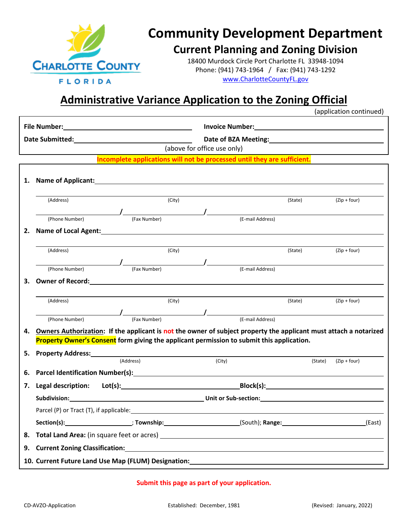

### **Current Planning and Zoning Division**

18400 Murdock Circle Port Charlotte FL 33948-1094 Phone: (941) 743-1964 / Fax: (941) 743-1292 [www.CharlotteCountyFL.gov](http://www.charlottecountyfl.gov/)

### **Administrative Variance Application to the Zoning Official**

(application continued)

|    |                                                                                                                                                                                                                                     |                                                                          |        |                             | Date of BZA Meeting:<br><u> </u> |         |                |  |
|----|-------------------------------------------------------------------------------------------------------------------------------------------------------------------------------------------------------------------------------------|--------------------------------------------------------------------------|--------|-----------------------------|----------------------------------|---------|----------------|--|
|    |                                                                                                                                                                                                                                     |                                                                          |        | (above for office use only) |                                  |         |                |  |
|    |                                                                                                                                                                                                                                     | Incomplete applications will not be processed until they are sufficient. |        |                             |                                  |         |                |  |
| 1. |                                                                                                                                                                                                                                     |                                                                          |        |                             |                                  |         |                |  |
|    | (Address)                                                                                                                                                                                                                           |                                                                          | (City) |                             |                                  | (State) | $(Zip + four)$ |  |
|    | (Phone Number)                                                                                                                                                                                                                      | <i>(E-mail Address)</i><br>(E-mail Address)                              |        |                             |                                  |         |                |  |
| 2. |                                                                                                                                                                                                                                     |                                                                          |        |                             |                                  |         |                |  |
|    |                                                                                                                                                                                                                                     |                                                                          |        |                             |                                  |         |                |  |
|    | (Address)                                                                                                                                                                                                                           |                                                                          | (City) |                             |                                  | (State) | $(Zip + four)$ |  |
|    | (Phone Number)                                                                                                                                                                                                                      | (Fax Number)                                                             |        | $\overline{\phantom{a}}$    | (E-mail Address)                 |         |                |  |
| З. |                                                                                                                                                                                                                                     |                                                                          |        |                             |                                  |         |                |  |
|    |                                                                                                                                                                                                                                     |                                                                          |        |                             |                                  |         |                |  |
|    | (Address)                                                                                                                                                                                                                           |                                                                          | (City) |                             |                                  | (State) | $(Zip + four)$ |  |
|    | (Phone Number)                                                                                                                                                                                                                      | 1<br>1 (Fax Number) (Fax Number) (E-mail Address)                        |        |                             |                                  |         |                |  |
| 4. | Owners Authorization: If the applicant is not the owner of subject property the applicant must attach a notarized                                                                                                                   |                                                                          |        |                             |                                  |         |                |  |
|    | <b>Property Owner's Consent form giving the applicant permission to submit this application.</b>                                                                                                                                    |                                                                          |        |                             |                                  |         |                |  |
| 5. | Property Address: No. 1997 - March 1997 - March 1997 - March 1997 - March 1997 - March 1997 - March 1997 - March 1997 - March 1997 - March 1997 - March 1997 - March 1997 - March 1997 - March 1997 - March 1997 - March 1997       |                                                                          |        |                             |                                  |         |                |  |
|    |                                                                                                                                                                                                                                     | (Address)                                                                |        | (City)                      |                                  | (State) | $(Zip + four)$ |  |
| 6. |                                                                                                                                                                                                                                     |                                                                          |        |                             |                                  |         |                |  |
| 7. | Legal description: Lot(s): Legal description: Lot(s): Legal description: Lot(s):                                                                                                                                                    |                                                                          |        |                             |                                  |         |                |  |
|    | <b>Subdivision:</b> Subdivision: The Contract of Subdivision: Contract of Subdivision: Subdivision: Subdivision: Subdivision: Subdivision: Subdivision: Subdivision: Subdivision: Subdivision: Subdivision: Subdivision: Subdivisio |                                                                          |        |                             |                                  |         |                |  |
|    |                                                                                                                                                                                                                                     |                                                                          |        |                             |                                  |         |                |  |
|    |                                                                                                                                                                                                                                     |                                                                          |        |                             |                                  |         |                |  |
| 8. |                                                                                                                                                                                                                                     |                                                                          |        |                             |                                  |         |                |  |
| 9. |                                                                                                                                                                                                                                     |                                                                          |        |                             |                                  |         |                |  |
|    |                                                                                                                                                                                                                                     |                                                                          |        |                             |                                  |         |                |  |

#### **Submit this page as part of your application.**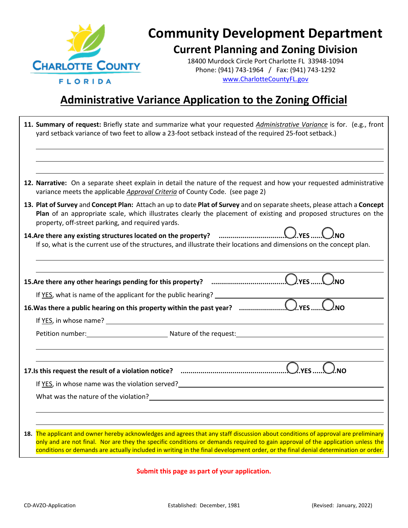

## **Community Development Department Current Planning and Zoning Division**

18400 Murdock Circle Port Charlotte FL 33948-1094 Phone: (941) 743-1964 / Fax: (941) 743-1292 [www.CharlotteCountyFL.gov](http://www.charlottecountyfl.gov/)

### **Administrative Variance Application to the Zoning Official**

| 11. Summary of request: Briefly state and summarize what your requested <i>Administrative Variance</i> is for. (e.g., front<br>yard setback variance of two feet to allow a 23-foot setback instead of the required 25-foot setback.)                                                                                                                                                                      |
|------------------------------------------------------------------------------------------------------------------------------------------------------------------------------------------------------------------------------------------------------------------------------------------------------------------------------------------------------------------------------------------------------------|
| 12. Narrative: On a separate sheet explain in detail the nature of the request and how your requested administrative<br>variance meets the applicable Approval Criteria of County Code. (see page 2)                                                                                                                                                                                                       |
| 13. Plat of Survey and Concept Plan: Attach an up to date Plat of Survey and on separate sheets, please attach a Concept<br>Plan of an appropriate scale, which illustrates clearly the placement of existing and proposed structures on the<br>property, off-street parking, and required yards.                                                                                                          |
| 14.Are there any existing structures located on the property? <b>manual construct COLLAGE</b> .w<br>If so, what is the current use of the structures, and illustrate their locations and dimensions on the concept plan.                                                                                                                                                                                   |
|                                                                                                                                                                                                                                                                                                                                                                                                            |
|                                                                                                                                                                                                                                                                                                                                                                                                            |
|                                                                                                                                                                                                                                                                                                                                                                                                            |
|                                                                                                                                                                                                                                                                                                                                                                                                            |
|                                                                                                                                                                                                                                                                                                                                                                                                            |
|                                                                                                                                                                                                                                                                                                                                                                                                            |
|                                                                                                                                                                                                                                                                                                                                                                                                            |
| If YES, in whose name was the violation served?<br>Surface Manager Manager Manager Manager Manager Manager Manager Manager Manager Manager Manager Manager Manag                                                                                                                                                                                                                                           |
|                                                                                                                                                                                                                                                                                                                                                                                                            |
|                                                                                                                                                                                                                                                                                                                                                                                                            |
|                                                                                                                                                                                                                                                                                                                                                                                                            |
| 18. The applicant and owner hereby acknowledges and agrees that any staff discussion about conditions of approval are preliminary<br>only and are not final. Nor are they the specific conditions or demands required to gain approval of the application unless the<br>conditions or demands are actually included in writing in the final development order, or the final denial determination or order. |

**Submit this page as part of your application.**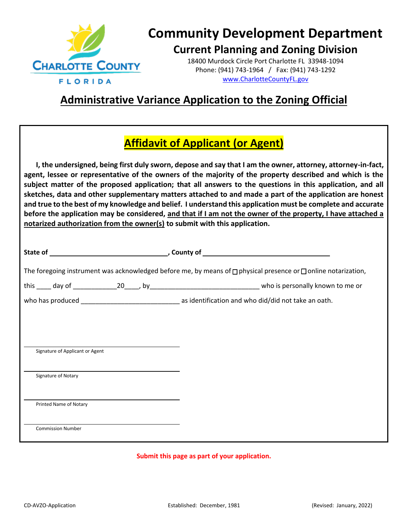

#### **Current Planning and Zoning Division**

18400 Murdock Circle Port Charlotte FL 33948-1094 Phone: (941) 743-1964 / Fax: (941) 743-1292 [www.CharlotteCountyFL.gov](http://www.charlottecountyfl.gov/)

### **Administrative Variance Application to the Zoning Official**

### **Affidavit of Applicant (or Agent)**

**I, the undersigned, being first duly sworn, depose and say that I am the owner, attorney, attorney-in-fact, agent, lessee or representative of the owners of the majority of the property described and which is the subject matter of the proposed application; that all answers to the questions in this application, and all sketches, data and other supplementary matters attached to and made a part of the application are honest and true to the best of my knowledge and belief. I understand this application must be complete and accurate before the application may be considered, and that if I am not the owner of the property, I have attached a notarized authorization from the owner(s) to submit with this application.** 

|                                 |  | The foregoing instrument was acknowledged before me, by means of □ physical presence or □ online notarization, |  |  |  |
|---------------------------------|--|----------------------------------------------------------------------------------------------------------------|--|--|--|
|                                 |  |                                                                                                                |  |  |  |
|                                 |  |                                                                                                                |  |  |  |
|                                 |  |                                                                                                                |  |  |  |
|                                 |  |                                                                                                                |  |  |  |
| Signature of Applicant or Agent |  |                                                                                                                |  |  |  |
|                                 |  |                                                                                                                |  |  |  |
| Signature of Notary             |  |                                                                                                                |  |  |  |
|                                 |  |                                                                                                                |  |  |  |
| Printed Name of Notary          |  |                                                                                                                |  |  |  |
|                                 |  |                                                                                                                |  |  |  |
| <b>Commission Number</b>        |  |                                                                                                                |  |  |  |
|                                 |  |                                                                                                                |  |  |  |

#### **Submit this page as part of your application.**